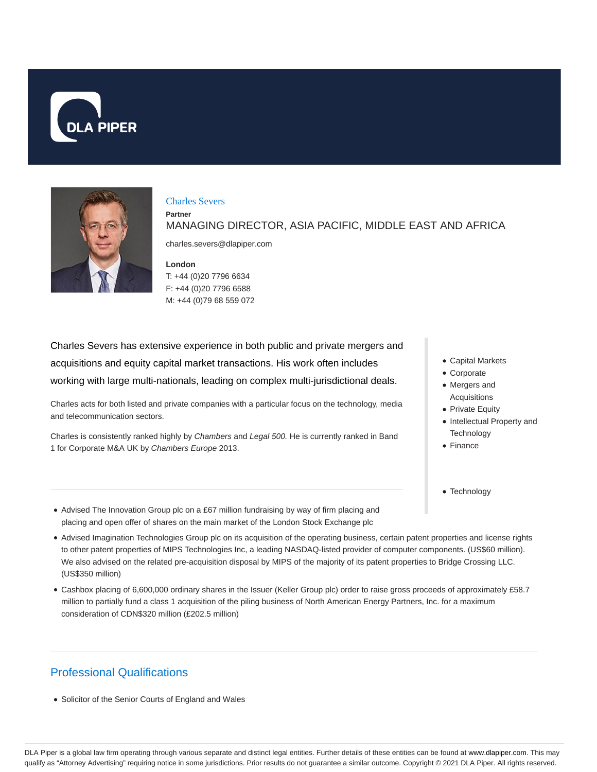



### Charles Severs

MANAGING DIRECTOR, ASIA PACIFIC, MIDDLE EAST AND AFRICA

charles.severs@dlapiper.com

### **London**

**Partner**

T: +44 (0)20 7796 6634 F: +44 (0)20 7796 6588 M: +44 (0)79 68 559 072

Charles Severs has extensive experience in both public and private mergers and acquisitions and equity capital market transactions. His work often includes working with large multi-nationals, leading on complex multi-jurisdictional deals.

Charles acts for both listed and private companies with a particular focus on the technology, media and telecommunication sectors.

Charles is consistently ranked highly by Chambers and Legal 500. He is currently ranked in Band 1 for Corporate M&A UK by Chambers Europe 2013.

- Capital Markets
- Corporate
- Mergers and Acquisitions
- Private Equity
- Intellectual Property and **Technology**
- Finance

• Technology

- Advised The Innovation Group plc on a £67 million fundraising by way of firm placing and placing and open offer of shares on the main market of the London Stock Exchange plc
- Advised Imagination Technologies Group plc on its acquisition of the operating business, certain patent properties and license rights to other patent properties of MIPS Technologies Inc, a leading NASDAQ-listed provider of computer components. (US\$60 million). We also advised on the related pre-acquisition disposal by MIPS of the majority of its patent properties to Bridge Crossing LLC. (US\$350 million)
- Cashbox placing of 6,600,000 ordinary shares in the Issuer (Keller Group plc) order to raise gross proceeds of approximately £58.7 million to partially fund a class 1 acquisition of the piling business of North American Energy Partners, Inc. for a maximum consideration of CDN\$320 million (£202.5 million)

# Professional Qualifications

• Solicitor of the Senior Courts of England and Wales

DLA Piper is a global law firm operating through various separate and distinct legal entities. Further details of these entities can be found at www.dlapiper.com. This may qualify as "Attorney Advertising" requiring notice in some jurisdictions. Prior results do not guarantee a similar outcome. Copyright @ 2021 DLA Piper. All rights reserved.